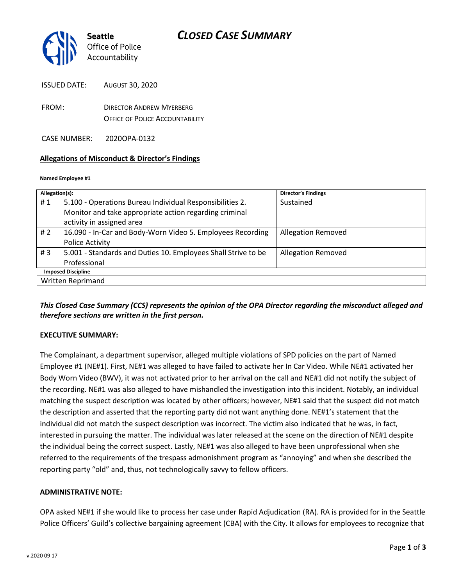

ISSUED DATE: AUGUST 30, 2020

FROM: DIRECTOR ANDREW MYERBERG OFFICE OF POLICE ACCOUNTABILITY

CASE NUMBER: 2020OPA-0132

### **Allegations of Misconduct & Director's Findings**

#### **Named Employee #1**

| Allegation(s):            |                                                               | <b>Director's Findings</b> |
|---------------------------|---------------------------------------------------------------|----------------------------|
| #1                        | 5.100 - Operations Bureau Individual Responsibilities 2.      | Sustained                  |
|                           | Monitor and take appropriate action regarding criminal        |                            |
|                           | activity in assigned area                                     |                            |
| #2                        | 16.090 - In-Car and Body-Worn Video 5. Employees Recording    | <b>Allegation Removed</b>  |
|                           | Police Activity                                               |                            |
| #3                        | 5.001 - Standards and Duties 10. Employees Shall Strive to be | <b>Allegation Removed</b>  |
|                           | Professional                                                  |                            |
| <b>Imposed Discipline</b> |                                                               |                            |
| Written Reprimand         |                                                               |                            |

*This Closed Case Summary (CCS) represents the opinion of the OPA Director regarding the misconduct alleged and therefore sections are written in the first person.* 

### **EXECUTIVE SUMMARY:**

The Complainant, a department supervisor, alleged multiple violations of SPD policies on the part of Named Employee #1 (NE#1). First, NE#1 was alleged to have failed to activate her In Car Video. While NE#1 activated her Body Worn Video (BWV), it was not activated prior to her arrival on the call and NE#1 did not notify the subject of the recording. NE#1 was also alleged to have mishandled the investigation into this incident. Notably, an individual matching the suspect description was located by other officers; however, NE#1 said that the suspect did not match the description and asserted that the reporting party did not want anything done. NE#1's statement that the individual did not match the suspect description was incorrect. The victim also indicated that he was, in fact, interested in pursuing the matter. The individual was later released at the scene on the direction of NE#1 despite the individual being the correct suspect. Lastly, NE#1 was also alleged to have been unprofessional when she referred to the requirements of the trespass admonishment program as "annoying" and when she described the reporting party "old" and, thus, not technologically savvy to fellow officers.

#### **ADMINISTRATIVE NOTE:**

OPA asked NE#1 if she would like to process her case under Rapid Adjudication (RA). RA is provided for in the Seattle Police Officers' Guild's collective bargaining agreement (CBA) with the City. It allows for employees to recognize that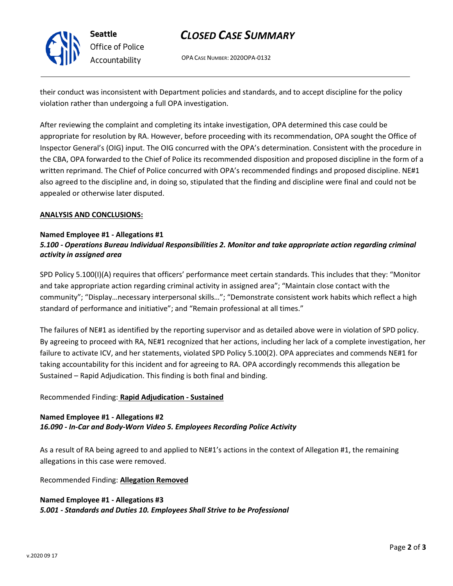# *CLOSED CASE SUMMARY*

OPA CASE NUMBER: 2020OPA-0132

their conduct was inconsistent with Department policies and standards, and to accept discipline for the policy violation rather than undergoing a full OPA investigation.

After reviewing the complaint and completing its intake investigation, OPA determined this case could be appropriate for resolution by RA. However, before proceeding with its recommendation, OPA sought the Office of Inspector General's (OIG) input. The OIG concurred with the OPA's determination. Consistent with the procedure in the CBA, OPA forwarded to the Chief of Police its recommended disposition and proposed discipline in the form of a written reprimand. The Chief of Police concurred with OPA's recommended findings and proposed discipline. NE#1 also agreed to the discipline and, in doing so, stipulated that the finding and discipline were final and could not be appealed or otherwise later disputed.

## **ANALYSIS AND CONCLUSIONS:**

#### **Named Employee #1 - Allegations #1** *5.100 - Operations Bureau Individual Responsibilities 2. Monitor and take appropriate action regarding criminal activity in assigned area*

SPD Policy 5.100(I)(A) requires that officers' performance meet certain standards. This includes that they: "Monitor and take appropriate action regarding criminal activity in assigned area"; "Maintain close contact with the community"; "Display…necessary interpersonal skills…"; "Demonstrate consistent work habits which reflect a high standard of performance and initiative"; and "Remain professional at all times."

The failures of NE#1 as identified by the reporting supervisor and as detailed above were in violation of SPD policy. By agreeing to proceed with RA, NE#1 recognized that her actions, including her lack of a complete investigation, her failure to activate ICV, and her statements, violated SPD Policy 5.100(2). OPA appreciates and commends NE#1 for taking accountability for this incident and for agreeing to RA. OPA accordingly recommends this allegation be Sustained – Rapid Adjudication. This finding is both final and binding.

## Recommended Finding: **Rapid Adjudication - Sustained**

## **Named Employee #1 - Allegations #2** *16.090 - In-Car and Body-Worn Video 5. Employees Recording Police Activity*

As a result of RA being agreed to and applied to NE#1's actions in the context of Allegation #1, the remaining allegations in this case were removed.

Recommended Finding: **Allegation Removed**

## **Named Employee #1 - Allegations #3** *5.001 - Standards and Duties 10. Employees Shall Strive to be Professional*



**Seattle** *Office of Police Accountability*